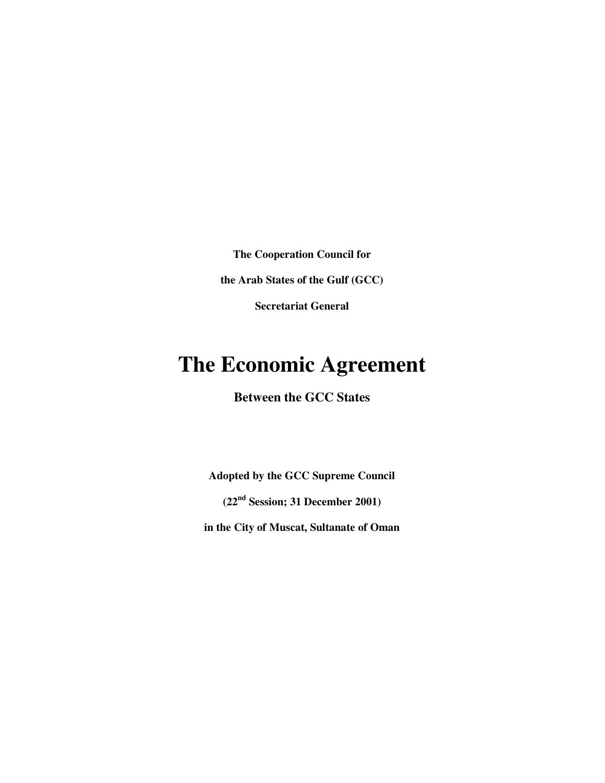**The Cooperation Council for** 

**the Arab States of the Gulf (GCC)** 

**Secretariat General** 

# **The Economic Agreement**

**Between the GCC States** 

**Adopted by the GCC Supreme Council** 

**(22nd Session; 31 December 2001)** 

**in the City of Muscat, Sultanate of Oman**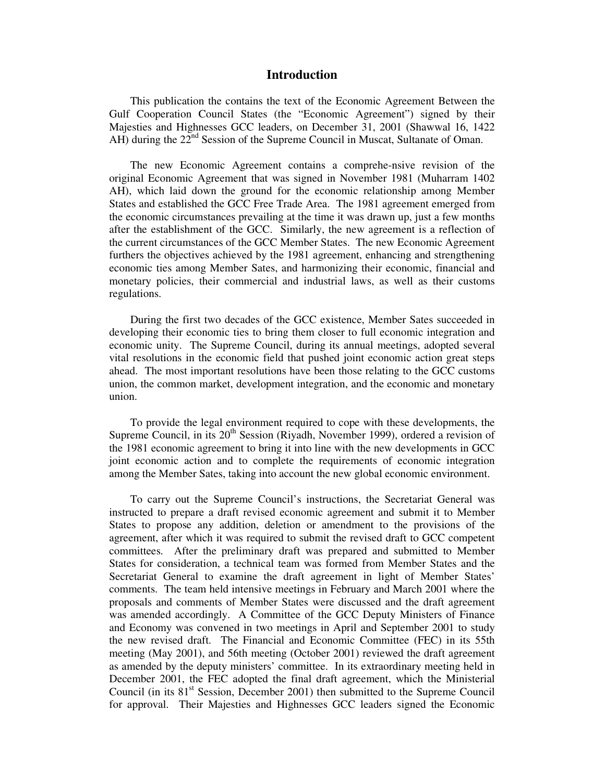### **Introduction**

This publication the contains the text of the Economic Agreement Between the Gulf Cooperation Council States (the "Economic Agreement") signed by their Majesties and Highnesses GCC leaders, on December 31, 2001 (Shawwal 16, 1422 AH) during the  $22<sup>nd</sup>$  Session of the Supreme Council in Muscat, Sultanate of Oman.

The new Economic Agreement contains a comprehe-nsive revision of the original Economic Agreement that was signed in November 1981 (Muharram 1402 AH), which laid down the ground for the economic relationship among Member States and established the GCC Free Trade Area. The 1981 agreement emerged from the economic circumstances prevailing at the time it was drawn up, just a few months after the establishment of the GCC. Similarly, the new agreement is a reflection of the current circumstances of the GCC Member States. The new Economic Agreement furthers the objectives achieved by the 1981 agreement, enhancing and strengthening economic ties among Member Sates, and harmonizing their economic, financial and monetary policies, their commercial and industrial laws, as well as their customs regulations.

During the first two decades of the GCC existence, Member Sates succeeded in developing their economic ties to bring them closer to full economic integration and economic unity. The Supreme Council, during its annual meetings, adopted several vital resolutions in the economic field that pushed joint economic action great steps ahead. The most important resolutions have been those relating to the GCC customs union, the common market, development integration, and the economic and monetary union.

To provide the legal environment required to cope with these developments, the Supreme Council, in its  $20<sup>th</sup>$  Session (Riyadh, November 1999), ordered a revision of the 1981 economic agreement to bring it into line with the new developments in GCC joint economic action and to complete the requirements of economic integration among the Member Sates, taking into account the new global economic environment.

To carry out the Supreme Council's instructions, the Secretariat General was instructed to prepare a draft revised economic agreement and submit it to Member States to propose any addition, deletion or amendment to the provisions of the agreement, after which it was required to submit the revised draft to GCC competent committees. After the preliminary draft was prepared and submitted to Member States for consideration, a technical team was formed from Member States and the Secretariat General to examine the draft agreement in light of Member States' comments. The team held intensive meetings in February and March 2001 where the proposals and comments of Member States were discussed and the draft agreement was amended accordingly. A Committee of the GCC Deputy Ministers of Finance and Economy was convened in two meetings in April and September 2001 to study the new revised draft. The Financial and Economic Committee (FEC) in its 55th meeting (May 2001), and 56th meeting (October 2001) reviewed the draft agreement as amended by the deputy ministers' committee. In its extraordinary meeting held in December 2001, the FEC adopted the final draft agreement, which the Ministerial Council (in its  $81<sup>st</sup>$  Session, December 2001) then submitted to the Supreme Council for approval. Their Majesties and Highnesses GCC leaders signed the Economic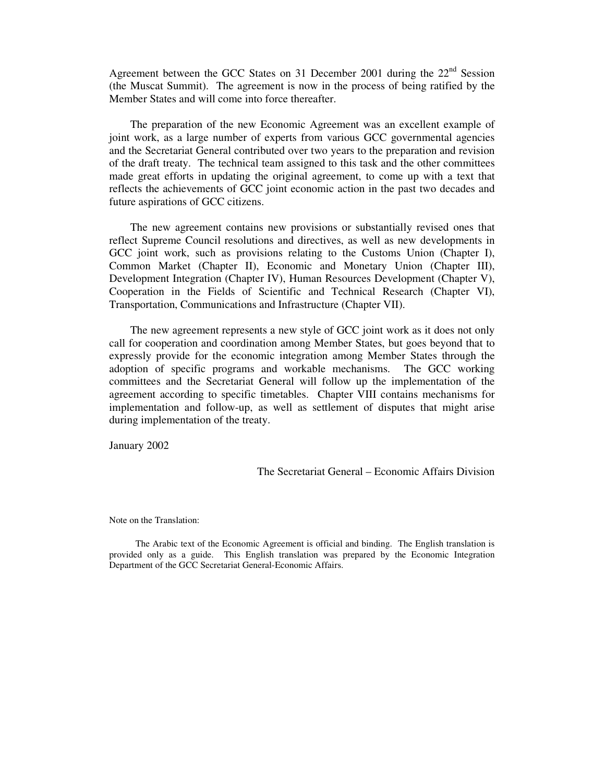Agreement between the GCC States on 31 December 2001 during the  $22<sup>nd</sup>$  Session (the Muscat Summit). The agreement is now in the process of being ratified by the Member States and will come into force thereafter.

The preparation of the new Economic Agreement was an excellent example of joint work, as a large number of experts from various GCC governmental agencies and the Secretariat General contributed over two years to the preparation and revision of the draft treaty. The technical team assigned to this task and the other committees made great efforts in updating the original agreement, to come up with a text that reflects the achievements of GCC joint economic action in the past two decades and future aspirations of GCC citizens.

The new agreement contains new provisions or substantially revised ones that reflect Supreme Council resolutions and directives, as well as new developments in GCC joint work, such as provisions relating to the Customs Union (Chapter I), Common Market (Chapter II), Economic and Monetary Union (Chapter III), Development Integration (Chapter IV), Human Resources Development (Chapter V), Cooperation in the Fields of Scientific and Technical Research (Chapter VI), Transportation, Communications and Infrastructure (Chapter VII).

The new agreement represents a new style of GCC joint work as it does not only call for cooperation and coordination among Member States, but goes beyond that to expressly provide for the economic integration among Member States through the adoption of specific programs and workable mechanisms. The GCC working committees and the Secretariat General will follow up the implementation of the agreement according to specific timetables. Chapter VIII contains mechanisms for implementation and follow-up, as well as settlement of disputes that might arise during implementation of the treaty.

January 2002

The Secretariat General – Economic Affairs Division

Note on the Translation:

The Arabic text of the Economic Agreement is official and binding. The English translation is provided only as a guide. This English translation was prepared by the Economic Integration Department of the GCC Secretariat General-Economic Affairs.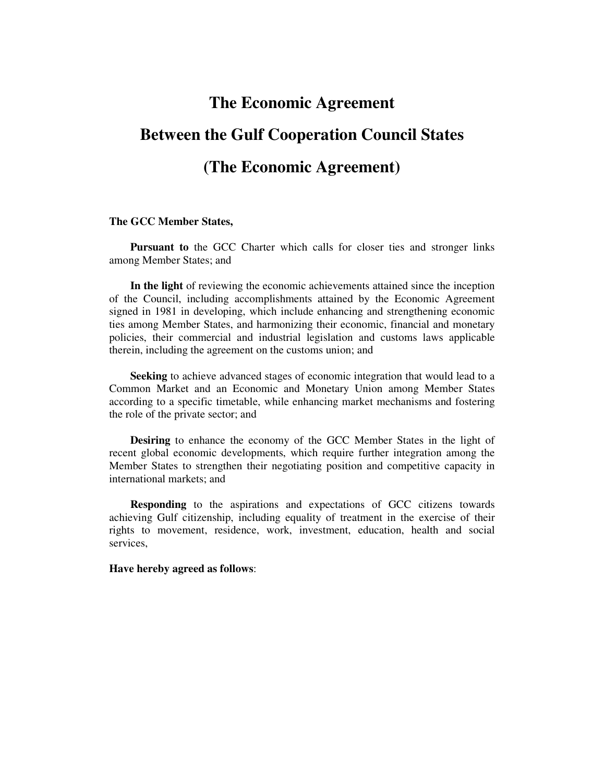# **The Economic Agreement**

# **Between the Gulf Cooperation Council States**

# **(The Economic Agreement)**

#### **The GCC Member States,**

**Pursuant to** the GCC Charter which calls for closer ties and stronger links among Member States; and

**In the light** of reviewing the economic achievements attained since the inception of the Council, including accomplishments attained by the Economic Agreement signed in 1981 in developing, which include enhancing and strengthening economic ties among Member States, and harmonizing their economic, financial and monetary policies, their commercial and industrial legislation and customs laws applicable therein, including the agreement on the customs union; and

**Seeking** to achieve advanced stages of economic integration that would lead to a Common Market and an Economic and Monetary Union among Member States according to a specific timetable, while enhancing market mechanisms and fostering the role of the private sector; and

**Desiring** to enhance the economy of the GCC Member States in the light of recent global economic developments, which require further integration among the Member States to strengthen their negotiating position and competitive capacity in international markets; and

**Responding** to the aspirations and expectations of GCC citizens towards achieving Gulf citizenship, including equality of treatment in the exercise of their rights to movement, residence, work, investment, education, health and social services,

**Have hereby agreed as follows**: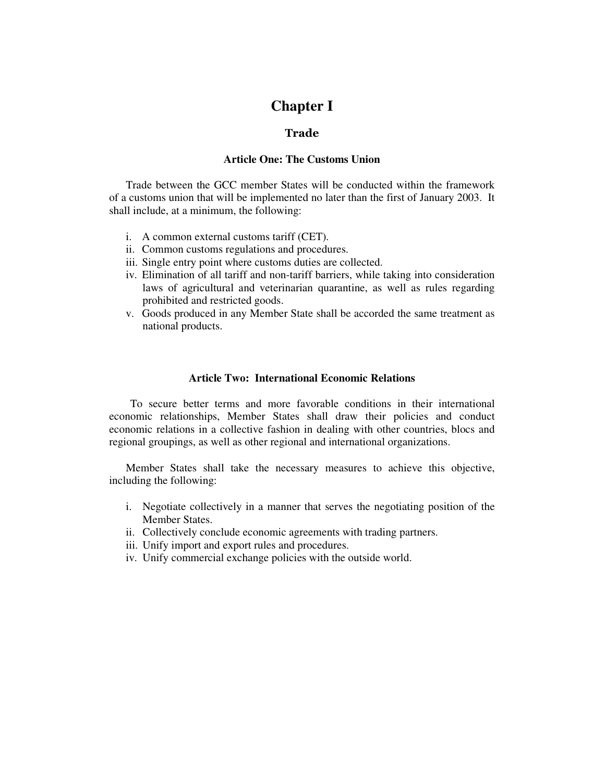# **Chapter I**

### Trade

### **Article One: The Customs Union**

Trade between the GCC member States will be conducted within the framework of a customs union that will be implemented no later than the first of January 2003. It shall include, at a minimum, the following:

- i. A common external customs tariff (CET).
- ii. Common customs regulations and procedures.
- iii. Single entry point where customs duties are collected.
- iv. Elimination of all tariff and non-tariff barriers, while taking into consideration laws of agricultural and veterinarian quarantine, as well as rules regarding prohibited and restricted goods.
- v. Goods produced in any Member State shall be accorded the same treatment as national products.

### **Article Two: International Economic Relations**

To secure better terms and more favorable conditions in their international economic relationships, Member States shall draw their policies and conduct economic relations in a collective fashion in dealing with other countries, blocs and regional groupings, as well as other regional and international organizations.

Member States shall take the necessary measures to achieve this objective, including the following:

- i. Negotiate collectively in a manner that serves the negotiating position of the Member States.
- ii. Collectively conclude economic agreements with trading partners.
- iii. Unify import and export rules and procedures.
- iv. Unify commercial exchange policies with the outside world.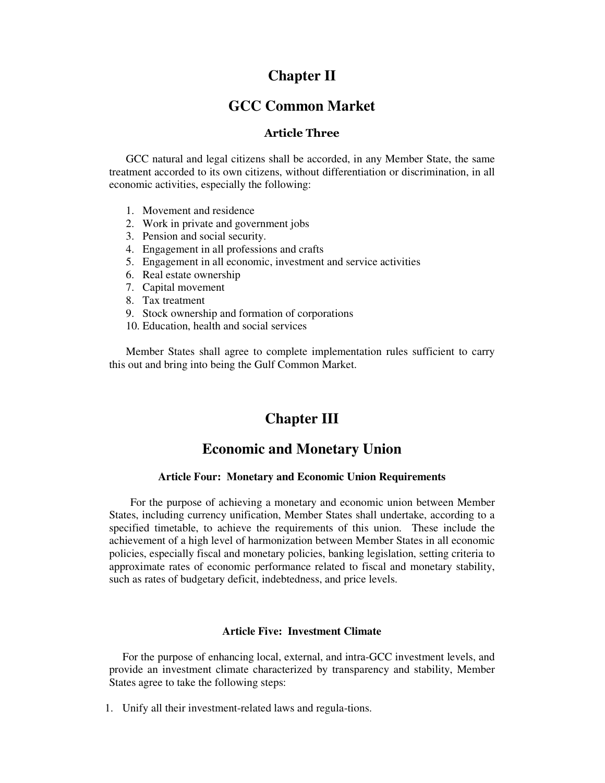# **Chapter II**

# **GCC Common Market**

## Article Three

GCC natural and legal citizens shall be accorded, in any Member State, the same treatment accorded to its own citizens, without differentiation or discrimination, in all economic activities, especially the following:

- 1. Movement and residence
- 2. Work in private and government jobs
- 3. Pension and social security.
- 4. Engagement in all professions and crafts
- 5. Engagement in all economic, investment and service activities
- 6. Real estate ownership
- 7. Capital movement
- 8. Tax treatment
- 9. Stock ownership and formation of corporations
- 10. Education, health and social services

Member States shall agree to complete implementation rules sufficient to carry this out and bring into being the Gulf Common Market.

# **Chapter III**

# **Economic and Monetary Union**

### **Article Four: Monetary and Economic Union Requirements**

For the purpose of achieving a monetary and economic union between Member States, including currency unification, Member States shall undertake, according to a specified timetable, to achieve the requirements of this union. These include the achievement of a high level of harmonization between Member States in all economic policies, especially fiscal and monetary policies, banking legislation, setting criteria to approximate rates of economic performance related to fiscal and monetary stability, such as rates of budgetary deficit, indebtedness, and price levels.

### **Article Five: Investment Climate**

For the purpose of enhancing local, external, and intra-GCC investment levels, and provide an investment climate characterized by transparency and stability, Member States agree to take the following steps:

1. Unify all their investment-related laws and regula-tions.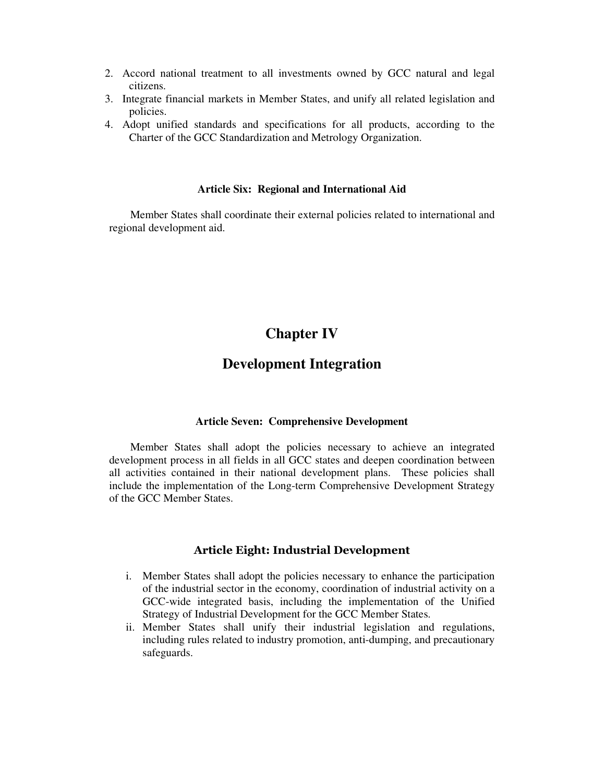- 2. Accord national treatment to all investments owned by GCC natural and legal citizens.
- 3. Integrate financial markets in Member States, and unify all related legislation and policies.
- 4. Adopt unified standards and specifications for all products, according to the Charter of the GCC Standardization and Metrology Organization.

#### **Article Six: Regional and International Aid**

Member States shall coordinate their external policies related to international and regional development aid.

# **Chapter IV**

# **Development Integration**

### **Article Seven: Comprehensive Development**

Member States shall adopt the policies necessary to achieve an integrated development process in all fields in all GCC states and deepen coordination between all activities contained in their national development plans. These policies shall include the implementation of the Long-term Comprehensive Development Strategy of the GCC Member States.

### Article Eight: Industrial Development

- i. Member States shall adopt the policies necessary to enhance the participation of the industrial sector in the economy, coordination of industrial activity on a GCC-wide integrated basis, including the implementation of the Unified Strategy of Industrial Development for the GCC Member States.
- ii. Member States shall unify their industrial legislation and regulations, including rules related to industry promotion, anti-dumping, and precautionary safeguards.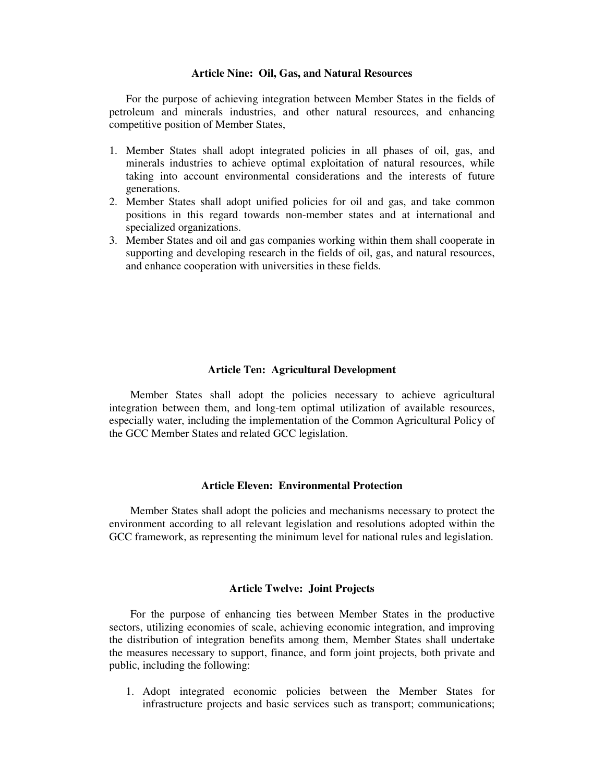#### **Article Nine: Oil, Gas, and Natural Resources**

For the purpose of achieving integration between Member States in the fields of petroleum and minerals industries, and other natural resources, and enhancing competitive position of Member States,

- 1. Member States shall adopt integrated policies in all phases of oil, gas, and minerals industries to achieve optimal exploitation of natural resources, while taking into account environmental considerations and the interests of future generations.
- 2. Member States shall adopt unified policies for oil and gas, and take common positions in this regard towards non-member states and at international and specialized organizations.
- 3. Member States and oil and gas companies working within them shall cooperate in supporting and developing research in the fields of oil, gas, and natural resources, and enhance cooperation with universities in these fields.

### **Article Ten: Agricultural Development**

Member States shall adopt the policies necessary to achieve agricultural integration between them, and long-tem optimal utilization of available resources, especially water, including the implementation of the Common Agricultural Policy of the GCC Member States and related GCC legislation.

### **Article Eleven: Environmental Protection**

Member States shall adopt the policies and mechanisms necessary to protect the environment according to all relevant legislation and resolutions adopted within the GCC framework, as representing the minimum level for national rules and legislation.

### **Article Twelve: Joint Projects**

For the purpose of enhancing ties between Member States in the productive sectors, utilizing economies of scale, achieving economic integration, and improving the distribution of integration benefits among them, Member States shall undertake the measures necessary to support, finance, and form joint projects, both private and public, including the following:

1. Adopt integrated economic policies between the Member States for infrastructure projects and basic services such as transport; communications;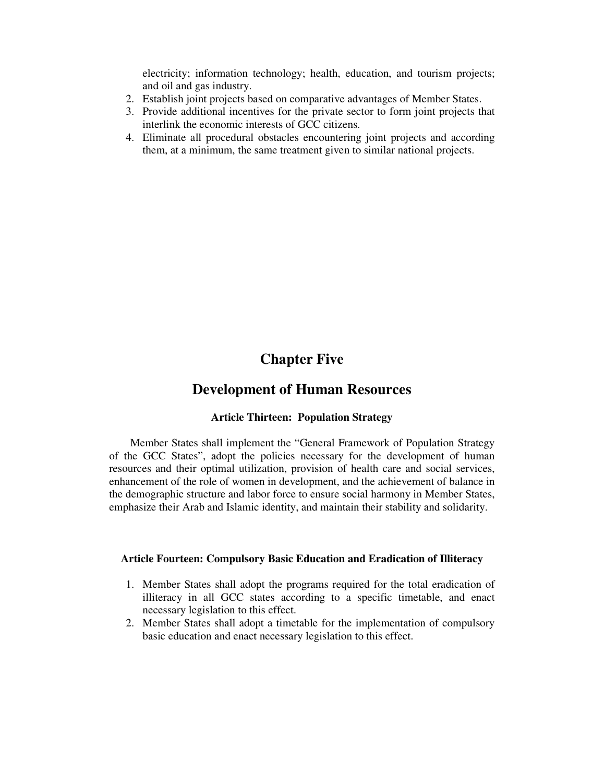electricity; information technology; health, education, and tourism projects; and oil and gas industry.

- 2. Establish joint projects based on comparative advantages of Member States.
- 3. Provide additional incentives for the private sector to form joint projects that interlink the economic interests of GCC citizens.
- 4. Eliminate all procedural obstacles encountering joint projects and according them, at a minimum, the same treatment given to similar national projects.

# **Chapter Five**

# **Development of Human Resources**

### **Article Thirteen: Population Strategy**

Member States shall implement the "General Framework of Population Strategy of the GCC States", adopt the policies necessary for the development of human resources and their optimal utilization, provision of health care and social services, enhancement of the role of women in development, and the achievement of balance in the demographic structure and labor force to ensure social harmony in Member States, emphasize their Arab and Islamic identity, and maintain their stability and solidarity.

### **Article Fourteen: Compulsory Basic Education and Eradication of Illiteracy**

- 1. Member States shall adopt the programs required for the total eradication of illiteracy in all GCC states according to a specific timetable, and enact necessary legislation to this effect.
- 2. Member States shall adopt a timetable for the implementation of compulsory basic education and enact necessary legislation to this effect.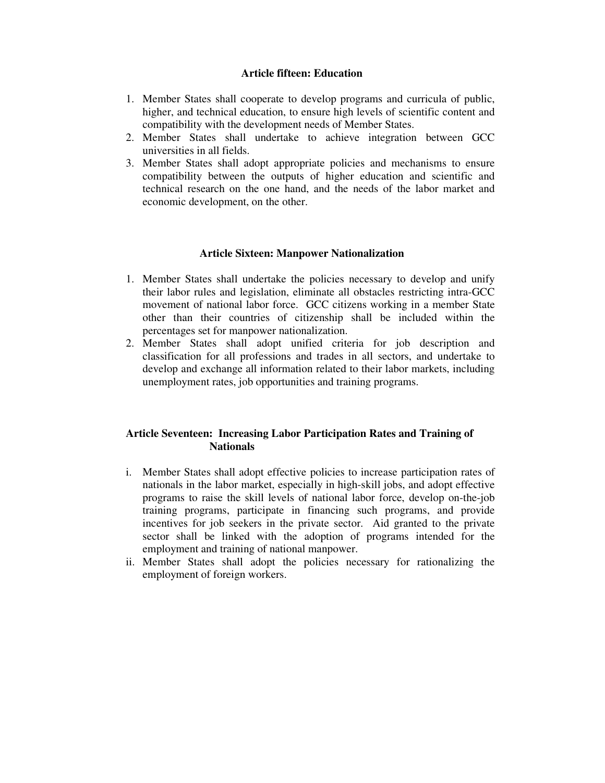### **Article fifteen: Education**

- 1. Member States shall cooperate to develop programs and curricula of public, higher, and technical education, to ensure high levels of scientific content and compatibility with the development needs of Member States.
- 2. Member States shall undertake to achieve integration between GCC universities in all fields.
- 3. Member States shall adopt appropriate policies and mechanisms to ensure compatibility between the outputs of higher education and scientific and technical research on the one hand, and the needs of the labor market and economic development, on the other.

### **Article Sixteen: Manpower Nationalization**

- 1. Member States shall undertake the policies necessary to develop and unify their labor rules and legislation, eliminate all obstacles restricting intra-GCC movement of national labor force. GCC citizens working in a member State other than their countries of citizenship shall be included within the percentages set for manpower nationalization.
- 2. Member States shall adopt unified criteria for job description and classification for all professions and trades in all sectors, and undertake to develop and exchange all information related to their labor markets, including unemployment rates, job opportunities and training programs.

## **Article Seventeen: Increasing Labor Participation Rates and Training of Nationals**

- i. Member States shall adopt effective policies to increase participation rates of nationals in the labor market, especially in high-skill jobs, and adopt effective programs to raise the skill levels of national labor force, develop on-the-job training programs, participate in financing such programs, and provide incentives for job seekers in the private sector. Aid granted to the private sector shall be linked with the adoption of programs intended for the employment and training of national manpower.
- ii. Member States shall adopt the policies necessary for rationalizing the employment of foreign workers.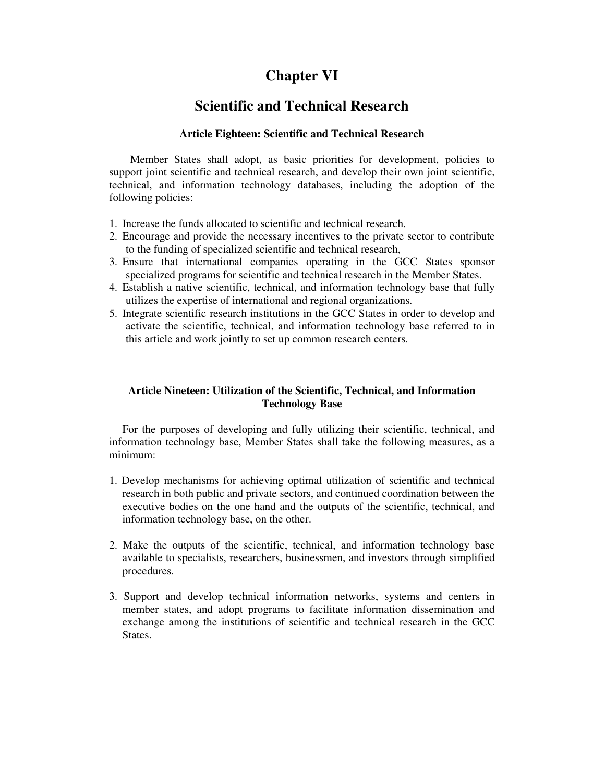# **Chapter VI**

# **Scientific and Technical Research**

### **Article Eighteen: Scientific and Technical Research**

Member States shall adopt, as basic priorities for development, policies to support joint scientific and technical research, and develop their own joint scientific, technical, and information technology databases, including the adoption of the following policies:

- 1. Increase the funds allocated to scientific and technical research.
- 2. Encourage and provide the necessary incentives to the private sector to contribute to the funding of specialized scientific and technical research,
- 3. Ensure that international companies operating in the GCC States sponsor specialized programs for scientific and technical research in the Member States.
- 4. Establish a native scientific, technical, and information technology base that fully utilizes the expertise of international and regional organizations.
- 5. Integrate scientific research institutions in the GCC States in order to develop and activate the scientific, technical, and information technology base referred to in this article and work jointly to set up common research centers.

## **Article Nineteen: Utilization of the Scientific, Technical, and Information Technology Base**

For the purposes of developing and fully utilizing their scientific, technical, and information technology base, Member States shall take the following measures, as a minimum:

- 1. Develop mechanisms for achieving optimal utilization of scientific and technical research in both public and private sectors, and continued coordination between the executive bodies on the one hand and the outputs of the scientific, technical, and information technology base, on the other.
- 2. Make the outputs of the scientific, technical, and information technology base available to specialists, researchers, businessmen, and investors through simplified procedures.
- 3. Support and develop technical information networks, systems and centers in member states, and adopt programs to facilitate information dissemination and exchange among the institutions of scientific and technical research in the GCC **States**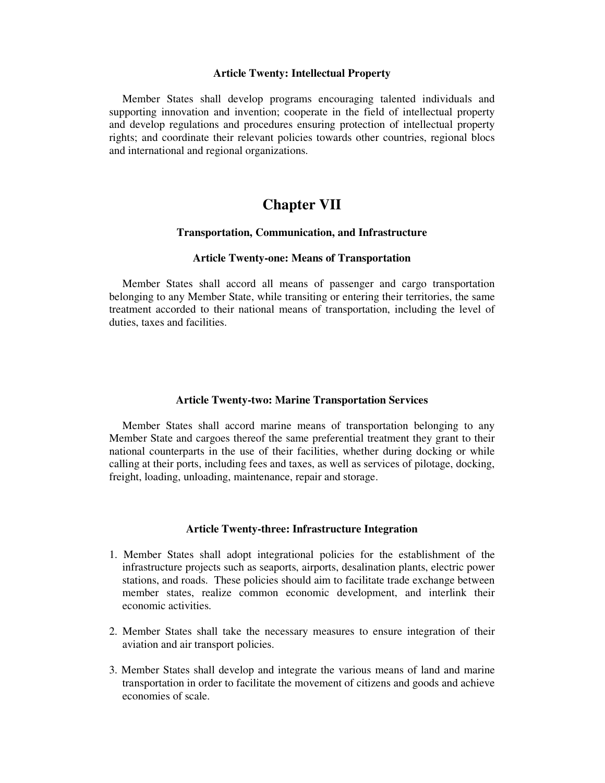#### **Article Twenty: Intellectual Property**

Member States shall develop programs encouraging talented individuals and supporting innovation and invention; cooperate in the field of intellectual property and develop regulations and procedures ensuring protection of intellectual property rights; and coordinate their relevant policies towards other countries, regional blocs and international and regional organizations.

# **Chapter VII**

#### **Transportation, Communication, and Infrastructure**

#### **Article Twenty-one: Means of Transportation**

Member States shall accord all means of passenger and cargo transportation belonging to any Member State, while transiting or entering their territories, the same treatment accorded to their national means of transportation, including the level of duties, taxes and facilities.

#### **Article Twenty-two: Marine Transportation Services**

Member States shall accord marine means of transportation belonging to any Member State and cargoes thereof the same preferential treatment they grant to their national counterparts in the use of their facilities, whether during docking or while calling at their ports, including fees and taxes, as well as services of pilotage, docking, freight, loading, unloading, maintenance, repair and storage.

#### **Article Twenty-three: Infrastructure Integration**

- 1. Member States shall adopt integrational policies for the establishment of the infrastructure projects such as seaports, airports, desalination plants, electric power stations, and roads. These policies should aim to facilitate trade exchange between member states, realize common economic development, and interlink their economic activities.
- 2. Member States shall take the necessary measures to ensure integration of their aviation and air transport policies.
- 3. Member States shall develop and integrate the various means of land and marine transportation in order to facilitate the movement of citizens and goods and achieve economies of scale.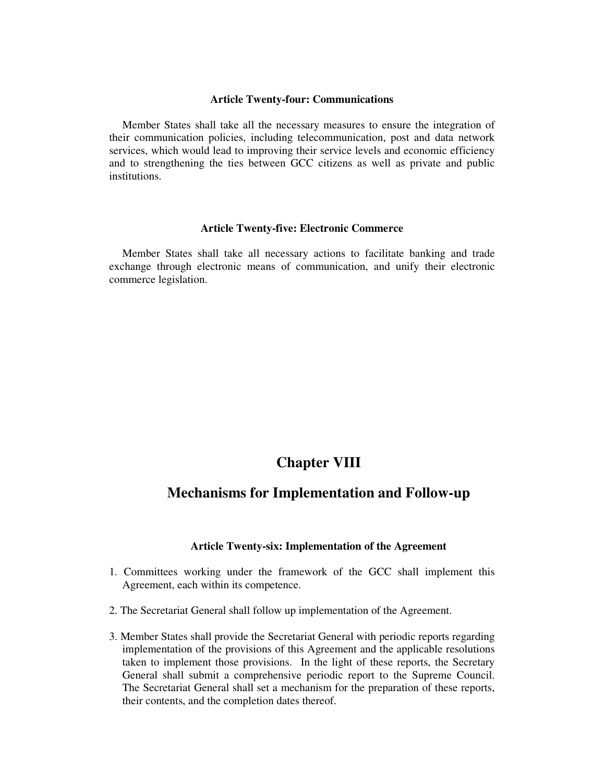#### **Article Twenty-four: Communications**

Member States shall take all the necessary measures to ensure the integration of their communication policies, including telecommunication, post and data network services, which would lead to improving their service levels and economic efficiency and to strengthening the ties between GCC citizens as well as private and public institutions.

#### **Article Twenty-five: Electronic Commerce**

Member States shall take all necessary actions to facilitate banking and trade exchange through electronic means of communication, and unify their electronic commerce legislation.

# **Chapter VIII**

# **Mechanisms for Implementation and Follow-up**

### **Article Twenty-six: Implementation of the Agreement**

- 1. Committees working under the framework of the GCC shall implement this Agreement, each within its competence.
- 2. The Secretariat General shall follow up implementation of the Agreement.
- 3. Member States shall provide the Secretariat General with periodic reports regarding implementation of the provisions of this Agreement and the applicable resolutions taken to implement those provisions. In the light of these reports, the Secretary General shall submit a comprehensive periodic report to the Supreme Council. The Secretariat General shall set a mechanism for the preparation of these reports, their contents, and the completion dates thereof.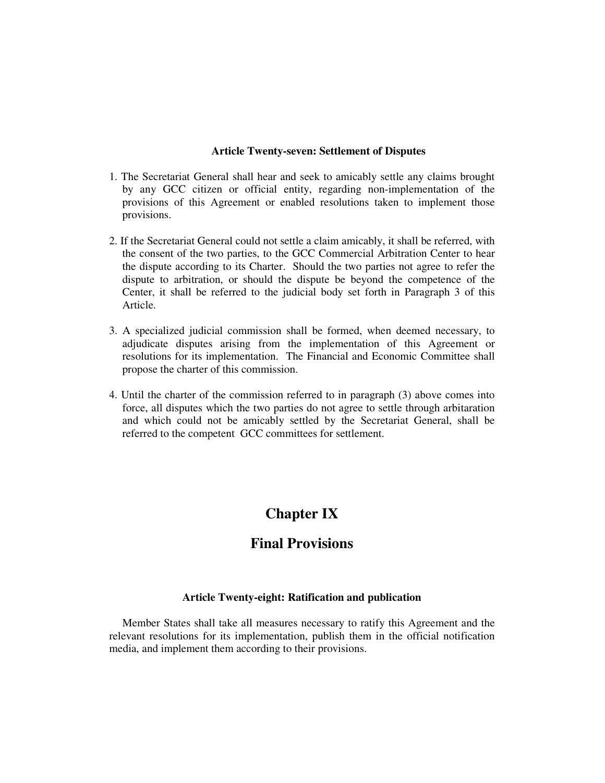### **Article Twenty-seven: Settlement of Disputes**

- 1. The Secretariat General shall hear and seek to amicably settle any claims brought by any GCC citizen or official entity, regarding non-implementation of the provisions of this Agreement or enabled resolutions taken to implement those provisions.
- 2. If the Secretariat General could not settle a claim amicably, it shall be referred, with the consent of the two parties, to the GCC Commercial Arbitration Center to hear the dispute according to its Charter. Should the two parties not agree to refer the dispute to arbitration, or should the dispute be beyond the competence of the Center, it shall be referred to the judicial body set forth in Paragraph 3 of this Article.
- 3. A specialized judicial commission shall be formed, when deemed necessary, to adjudicate disputes arising from the implementation of this Agreement or resolutions for its implementation. The Financial and Economic Committee shall propose the charter of this commission.
- 4. Until the charter of the commission referred to in paragraph (3) above comes into force, all disputes which the two parties do not agree to settle through arbitaration and which could not be amicably settled by the Secretariat General, shall be referred to the competent GCC committees for settlement.

# **Chapter IX**

# **Final Provisions**

### **Article Twenty-eight: Ratification and publication**

Member States shall take all measures necessary to ratify this Agreement and the relevant resolutions for its implementation, publish them in the official notification media, and implement them according to their provisions.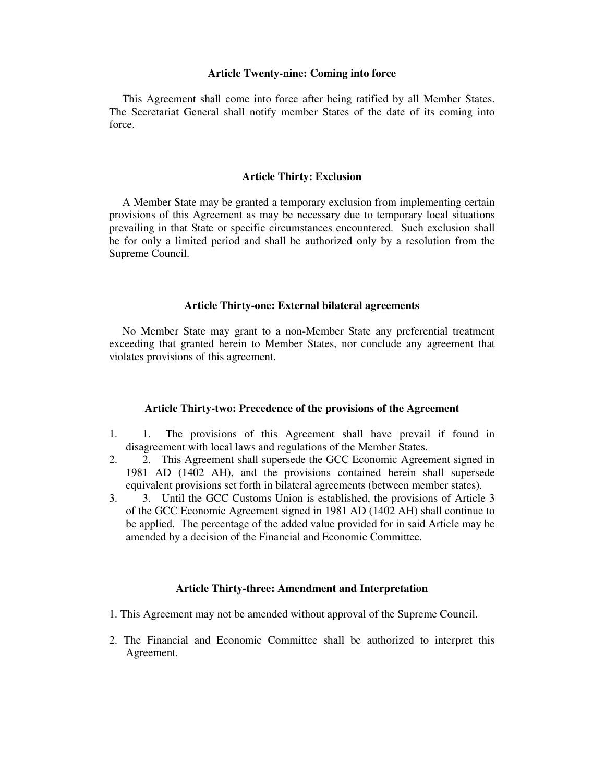#### **Article Twenty-nine: Coming into force**

This Agreement shall come into force after being ratified by all Member States. The Secretariat General shall notify member States of the date of its coming into force.

#### **Article Thirty: Exclusion**

A Member State may be granted a temporary exclusion from implementing certain provisions of this Agreement as may be necessary due to temporary local situations prevailing in that State or specific circumstances encountered. Such exclusion shall be for only a limited period and shall be authorized only by a resolution from the Supreme Council.

#### **Article Thirty-one: External bilateral agreements**

No Member State may grant to a non-Member State any preferential treatment exceeding that granted herein to Member States, nor conclude any agreement that violates provisions of this agreement.

#### **Article Thirty-two: Precedence of the provisions of the Agreement**

- 1. 1. The provisions of this Agreement shall have prevail if found in disagreement with local laws and regulations of the Member States.
- 2. 2. This Agreement shall supersede the GCC Economic Agreement signed in 1981 AD (1402 AH), and the provisions contained herein shall supersede equivalent provisions set forth in bilateral agreements (between member states).
- 3. 3. Until the GCC Customs Union is established, the provisions of Article 3 of the GCC Economic Agreement signed in 1981 AD (1402 AH) shall continue to be applied. The percentage of the added value provided for in said Article may be amended by a decision of the Financial and Economic Committee.

#### **Article Thirty-three: Amendment and Interpretation**

- 1. This Agreement may not be amended without approval of the Supreme Council.
- 2. The Financial and Economic Committee shall be authorized to interpret this Agreement.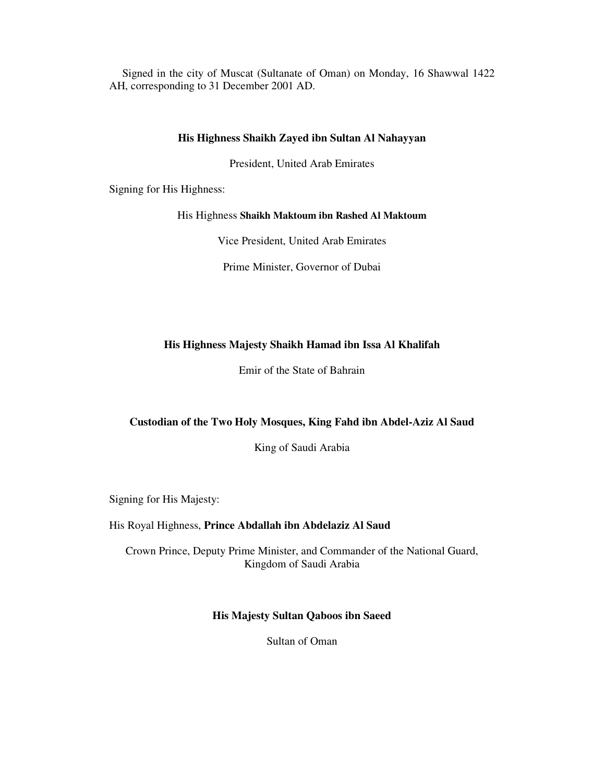Signed in the city of Muscat (Sultanate of Oman) on Monday, 16 Shawwal 1422 AH, corresponding to 31 December 2001 AD.

### **His Highness Shaikh Zayed ibn Sultan Al Nahayyan**

President, United Arab Emirates

Signing for His Highness:

### His Highness **Shaikh Maktoum ibn Rashed Al Maktoum**

Vice President, United Arab Emirates

Prime Minister, Governor of Dubai

## **His Highness Majesty Shaikh Hamad ibn Issa Al Khalifah**

Emir of the State of Bahrain

# **Custodian of the Two Holy Mosques, King Fahd ibn Abdel-Aziz Al Saud**

King of Saudi Arabia

Signing for His Majesty:

### His Royal Highness, **Prince Abdallah ibn Abdelaziz Al Saud**

Crown Prince, Deputy Prime Minister, and Commander of the National Guard, Kingdom of Saudi Arabia

### **His Majesty Sultan Qaboos ibn Saeed**

Sultan of Oman